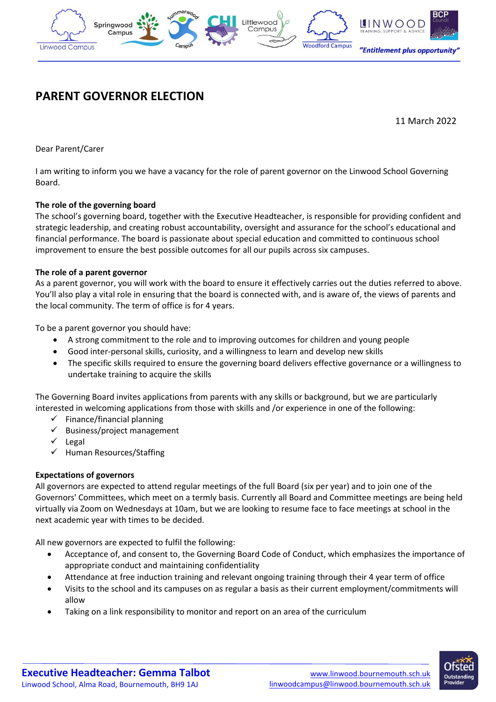

# **PARENT GOVERNOR ELECTION**

11 March 2022

Dear Parent/Carer

I am writing to inform you we have a vacancy for the role of parent governor on the Linwood School Governing Board.

# **The role of the governing board**

The school's governing board, together with the Executive Headteacher, is responsible for providing confident and strategic leadership, and creating robust accountability, oversight and assurance for the school's educational and financial performance. The board is passionate about special education and committed to continuous school improvement to ensure the best possible outcomes for all our pupils across six campuses.

#### **The role of a parent governor**

As a parent governor, you will work with the board to ensure it effectively carries out the duties referred to above. You'll also play a vital role in ensuring that the board is connected with, and is aware of, the views of parents and the local community. The term of office is for 4 years.

To be a parent governor you should have:

- A strong commitment to the role and to improving outcomes for children and young people
- Good inter-personal skills, curiosity, and a willingness to learn and develop new skills
- The specific skills required to ensure the governing board delivers effective governance or a willingness to undertake training to acquire the skills

The Governing Board invites applications from parents with any skills or background, but we are particularly interested in welcoming applications from those with skills and /or experience in one of the following:

- ✓ Finance/financial planning
- Business/project management
- **Legal**
- ✓ Human Resources/Staffing

#### **Expectations of governors**

All governors are expected to attend regular meetings of the full Board (six per year) and to join one of the Governors' Committees, which meet on a termly basis. Currently all Board and Committee meetings are being held virtually via Zoom on Wednesdays at 10am, but we are looking to resume face to face meetings at school in the next academic year with times to be decided.

All new governors are expected to fulfil the following:

- Acceptance of, and consent to, the Governing Board Code of Conduct, which emphasizes the importance of appropriate conduct and maintaining confidentiality
- Attendance at free induction training and relevant ongoing training through their 4 year term of office
- Visits to the school and its campuses on as regular a basis as their current employment/commitments will allow
- Taking on a link responsibility to monitor and report on an area of the curriculum